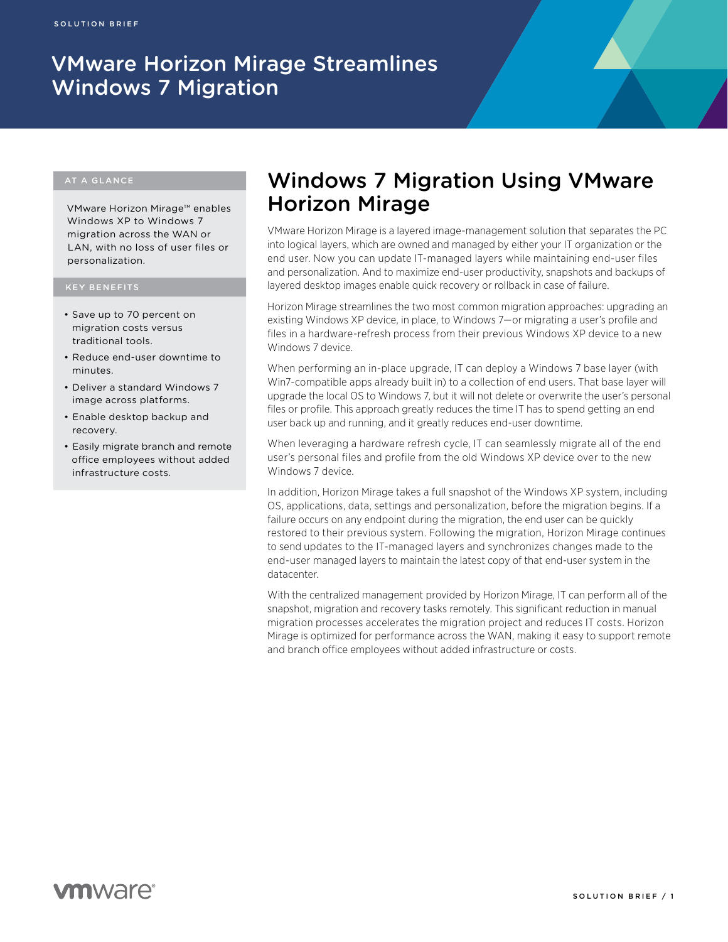# VMware Horizon Mirage Streamlines Windows 7 Migration

## AT A GLANCE

VMware Horizon Mirage™ enables Windows XP to Windows 7 migration across the WAN or LAN, with no loss of user files or personalization.

#### KEY BENEFITS

- • Save up to 70 percent on migration costs versus traditional tools.
- • Reduce end-user downtime to minutes.
- Deliver a standard Windows 7 image across platforms.
- • Enable desktop backup and recovery.
- Easily migrate branch and remote office employees without added infrastructure costs.

# Windows 7 Migration Using VMware Horizon Mirage

VMware Horizon Mirage is a layered image-management solution that separates the PC into logical layers, which are owned and managed by either your IT organization or the end user. Now you can update IT-managed layers while maintaining end-user files and personalization. And to maximize end-user productivity, snapshots and backups of layered desktop images enable quick recovery or rollback in case of failure.

Horizon Mirage streamlines the two most common migration approaches: upgrading an existing Windows XP device, in place, to Windows 7—or migrating a user's profile and files in a hardware-refresh process from their previous Windows XP device to a new Windows 7 device.

When performing an in-place upgrade, IT can deploy a Windows 7 base layer (with Win7-compatible apps already built in) to a collection of end users. That base layer will upgrade the local OS to Windows 7, but it will not delete or overwrite the user's personal files or profile. This approach greatly reduces the time IT has to spend getting an end user back up and running, and it greatly reduces end-user downtime.

When leveraging a hardware refresh cycle, IT can seamlessly migrate all of the end user's personal files and profile from the old Windows XP device over to the new Windows 7 device.

In addition, Horizon Mirage takes a full snapshot of the Windows XP system, including OS, applications, data, settings and personalization, before the migration begins. If a failure occurs on any endpoint during the migration, the end user can be quickly restored to their previous system. Following the migration, Horizon Mirage continues to send updates to the IT-managed layers and synchronizes changes made to the end-user managed layers to maintain the latest copy of that end-user system in the datacenter.

With the centralized management provided by Horizon Mirage, IT can perform all of the snapshot, migration and recovery tasks remotely. This significant reduction in manual migration processes accelerates the migration project and reduces IT costs. Horizon Mirage is optimized for performance across the WAN, making it easy to support remote and branch office employees without added infrastructure or costs.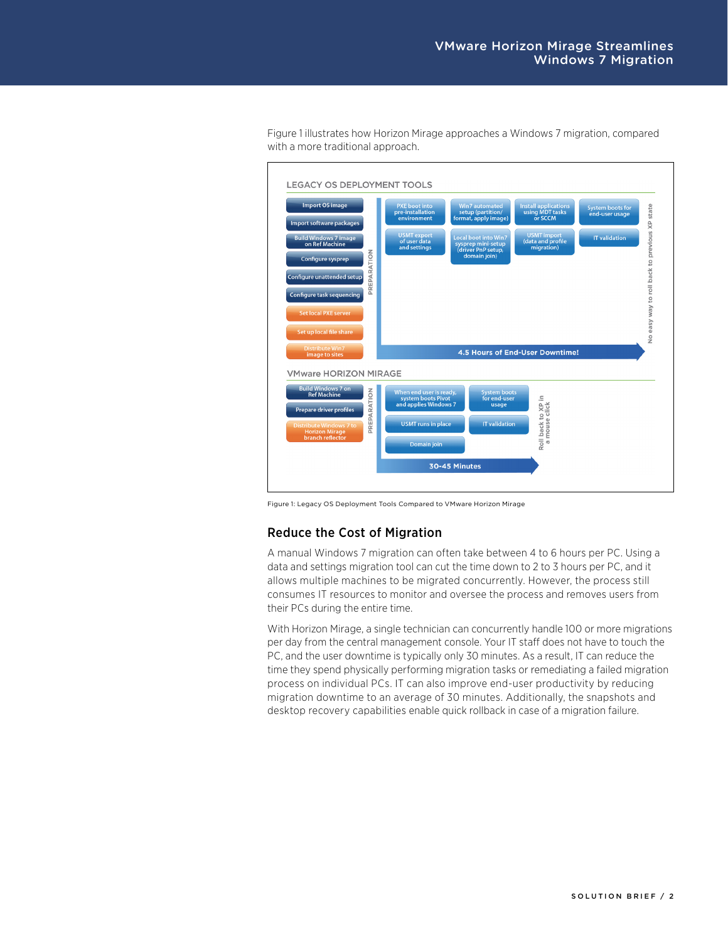

Figure 1 illustrates how Horizon Mirage approaches a Windows 7 migration, compared with a more traditional approach.

Figure 1: Legacy OS Deployment Tools Compared to VMware Horizon Mirage

#### Reduce the Cost of Migration

A manual Windows 7 migration can often take between 4 to 6 hours per PC. Using a data and settings migration tool can cut the time down to 2 to 3 hours per PC, and it allows multiple machines to be migrated concurrently. However, the process still consumes IT resources to monitor and oversee the process and removes users from their PCs during the entire time.

With Horizon Mirage, a single technician can concurrently handle 100 or more migrations per day from the central management console. Your IT staff does not have to touch the PC, and the user downtime is typically only 30 minutes. As a result, IT can reduce the time they spend physically performing migration tasks or remediating a failed migration process on individual PCs. IT can also improve end-user productivity by reducing migration downtime to an average of 30 minutes. Additionally, the snapshots and desktop recovery capabilities enable quick rollback in case of a migration failure.